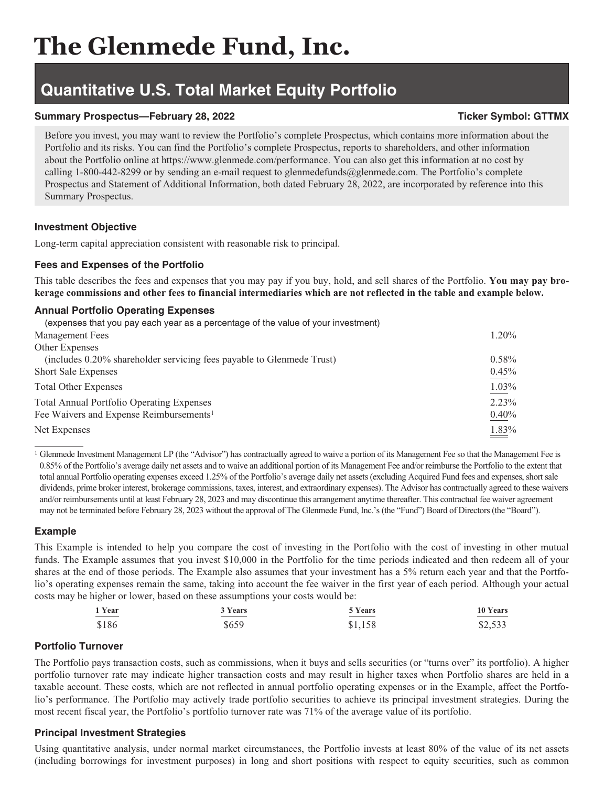# **Quantitative U.S. Total Market Equity Portfolio**

## **Summary Prospectus—February 28, 2022** Ticker Symbol: GTTMX

Before you invest, you may want to review the Portfolio's complete Prospectus, which contains more information about the Portfolio and its risks. You can find the Portfolio's complete Prospectus, reports to shareholders, and other information about the Portfolio online at https://www.glenmede.com/performance. You can also get this information at no cost by calling 1-800-442-8299 or by sending an e-mail request to glenmedefunds@glenmede.com. The Portfolio's complete Prospectus and Statement of Additional Information, both dated February 28, 2022, are incorporated by reference into this Summary Prospectus.

### **Investment Objective**

Long-term capital appreciation consistent with reasonable risk to principal.

# **Fees and Expenses of the Portfolio**

This table describes the fees and expenses that you may pay if you buy, hold, and sell shares of the Portfolio. **You may pay brokerage commissions and other fees to financial intermediaries which are not reflected in the table and example below.**

## **Annual Portfolio Operating Expenses**

| (expenses that you pay each year as a percentage of the value of your investment) |       |
|-----------------------------------------------------------------------------------|-------|
| <b>Management Fees</b>                                                            | 1.20% |
| Other Expenses                                                                    |       |
| (includes 0.20% shareholder servicing fees payable to Glenmede Trust)             | 0.58% |
| <b>Short Sale Expenses</b>                                                        | 0.45% |
| <b>Total Other Expenses</b>                                                       | 1.03% |
| <b>Total Annual Portfolio Operating Expenses</b>                                  | 2.23% |
| Fee Waivers and Expense Reimbursements <sup>1</sup>                               | 0.40% |
| Net Expenses                                                                      | 1.83% |

<sup>1</sup> Glenmede Investment Management LP (the "Advisor") has contractually agreed to waive a portion of its Management Fee so that the Management Fee is 0.85% of the Portfolio's average daily net assets and to waive an additional portion of its Management Fee and/or reimburse the Portfolio to the extent that total annual Portfolio operating expenses exceed 1.25% of the Portfolio's average daily net assets (excluding Acquired Fund fees and expenses, short sale dividends, prime broker interest, brokerage commissions, taxes, interest, and extraordinary expenses). The Advisor has contractually agreed to these waivers and/or reimbursements until at least February 28, 2023 and may discontinue this arrangement anytime thereafter. This contractual fee waiver agreement may not be terminated before February 28, 2023 without the approval of The Glenmede Fund, Inc.'s (the "Fund") Board of Directors (the "Board").

# **Example**

This Example is intended to help you compare the cost of investing in the Portfolio with the cost of investing in other mutual funds. The Example assumes that you invest \$10,000 in the Portfolio for the time periods indicated and then redeem all of your shares at the end of those periods. The Example also assumes that your investment has a 5% return each year and that the Portfolio's operating expenses remain the same, taking into account the fee waiver in the first year of each period. Although your actual costs may be higher or lower, based on these assumptions your costs would be:

| 1 Year                                                                                                                | 3 Years                                                                                                               | 5 Years                                                                                                               | 10 Years                                                                                                                |
|-----------------------------------------------------------------------------------------------------------------------|-----------------------------------------------------------------------------------------------------------------------|-----------------------------------------------------------------------------------------------------------------------|-------------------------------------------------------------------------------------------------------------------------|
| <u> The Common Section of the Common Section of the Common Section of the Common Section of the Common Section of</u> | <u> The Common Section of the Common Section of the Common Section of the Common Section of the Common Section of</u> | <u> The Common Section of the Common Section of the Common Section of the Common Section of the Common Section of</u> | <u> The Communication of the Communication of the Communication of the Communication of the Communication of the Co</u> |
| \$186                                                                                                                 | \$659                                                                                                                 | \$1,158                                                                                                               | \$2,533                                                                                                                 |

# **Portfolio Turnover**

The Portfolio pays transaction costs, such as commissions, when it buys and sells securities (or "turns over" its portfolio). A higher portfolio turnover rate may indicate higher transaction costs and may result in higher taxes when Portfolio shares are held in a taxable account. These costs, which are not reflected in annual portfolio operating expenses or in the Example, affect the Portfolio's performance. The Portfolio may actively trade portfolio securities to achieve its principal investment strategies. During the most recent fiscal year, the Portfolio's portfolio turnover rate was 71% of the average value of its portfolio.

# **Principal Investment Strategies**

Using quantitative analysis, under normal market circumstances, the Portfolio invests at least 80% of the value of its net assets (including borrowings for investment purposes) in long and short positions with respect to equity securities, such as common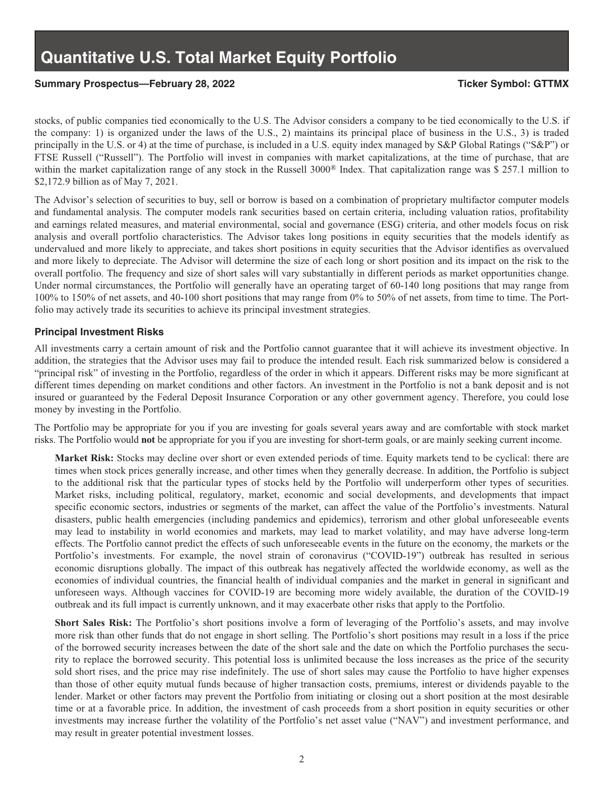### Summary Prospectus—February 28, 2022 **Ticker Symbol: GTTMX**

stocks, of public companies tied economically to the U.S. The Advisor considers a company to be tied economically to the U.S. if the company: 1) is organized under the laws of the U.S., 2) maintains its principal place of business in the U.S., 3) is traded principally in the U.S. or 4) at the time of purchase, is included in a U.S. equity index managed by S&P Global Ratings ("S&P") or FTSE Russell ("Russell"). The Portfolio will invest in companies with market capitalizations, at the time of purchase, that are within the market capitalization range of any stock in the Russell 3000<sup>®</sup> Index. That capitalization range was \$ 257.1 million to \$2,172.9 billion as of May 7, 2021.

The Advisor's selection of securities to buy, sell or borrow is based on a combination of proprietary multifactor computer models and fundamental analysis. The computer models rank securities based on certain criteria, including valuation ratios, profitability and earnings related measures, and material environmental, social and governance (ESG) criteria, and other models focus on risk analysis and overall portfolio characteristics. The Advisor takes long positions in equity securities that the models identify as undervalued and more likely to appreciate, and takes short positions in equity securities that the Advisor identifies as overvalued and more likely to depreciate. The Advisor will determine the size of each long or short position and its impact on the risk to the overall portfolio. The frequency and size of short sales will vary substantially in different periods as market opportunities change. Under normal circumstances, the Portfolio will generally have an operating target of 60-140 long positions that may range from 100% to 150% of net assets, and 40-100 short positions that may range from 0% to 50% of net assets, from time to time. The Portfolio may actively trade its securities to achieve its principal investment strategies.

#### **Principal Investment Risks**

All investments carry a certain amount of risk and the Portfolio cannot guarantee that it will achieve its investment objective. In addition, the strategies that the Advisor uses may fail to produce the intended result. Each risk summarized below is considered a "principal risk" of investing in the Portfolio, regardless of the order in which it appears. Different risks may be more significant at different times depending on market conditions and other factors. An investment in the Portfolio is not a bank deposit and is not insured or guaranteed by the Federal Deposit Insurance Corporation or any other government agency. Therefore, you could lose money by investing in the Portfolio.

The Portfolio may be appropriate for you if you are investing for goals several years away and are comfortable with stock market risks. The Portfolio would **not** be appropriate for you if you are investing for short-term goals, or are mainly seeking current income.

**Market Risk:** Stocks may decline over short or even extended periods of time. Equity markets tend to be cyclical: there are times when stock prices generally increase, and other times when they generally decrease. In addition, the Portfolio is subject to the additional risk that the particular types of stocks held by the Portfolio will underperform other types of securities. Market risks, including political, regulatory, market, economic and social developments, and developments that impact specific economic sectors, industries or segments of the market, can affect the value of the Portfolio's investments. Natural disasters, public health emergencies (including pandemics and epidemics), terrorism and other global unforeseeable events may lead to instability in world economies and markets, may lead to market volatility, and may have adverse long-term effects. The Portfolio cannot predict the effects of such unforeseeable events in the future on the economy, the markets or the Portfolio's investments. For example, the novel strain of coronavirus ("COVID-19") outbreak has resulted in serious economic disruptions globally. The impact of this outbreak has negatively affected the worldwide economy, as well as the economies of individual countries, the financial health of individual companies and the market in general in significant and unforeseen ways. Although vaccines for COVID-19 are becoming more widely available, the duration of the COVID-19 outbreak and its full impact is currently unknown, and it may exacerbate other risks that apply to the Portfolio.

**Short Sales Risk:** The Portfolio's short positions involve a form of leveraging of the Portfolio's assets, and may involve more risk than other funds that do not engage in short selling. The Portfolio's short positions may result in a loss if the price of the borrowed security increases between the date of the short sale and the date on which the Portfolio purchases the security to replace the borrowed security. This potential loss is unlimited because the loss increases as the price of the security sold short rises, and the price may rise indefinitely. The use of short sales may cause the Portfolio to have higher expenses than those of other equity mutual funds because of higher transaction costs, premiums, interest or dividends payable to the lender. Market or other factors may prevent the Portfolio from initiating or closing out a short position at the most desirable time or at a favorable price. In addition, the investment of cash proceeds from a short position in equity securities or other investments may increase further the volatility of the Portfolio's net asset value ("NAV") and investment performance, and may result in greater potential investment losses.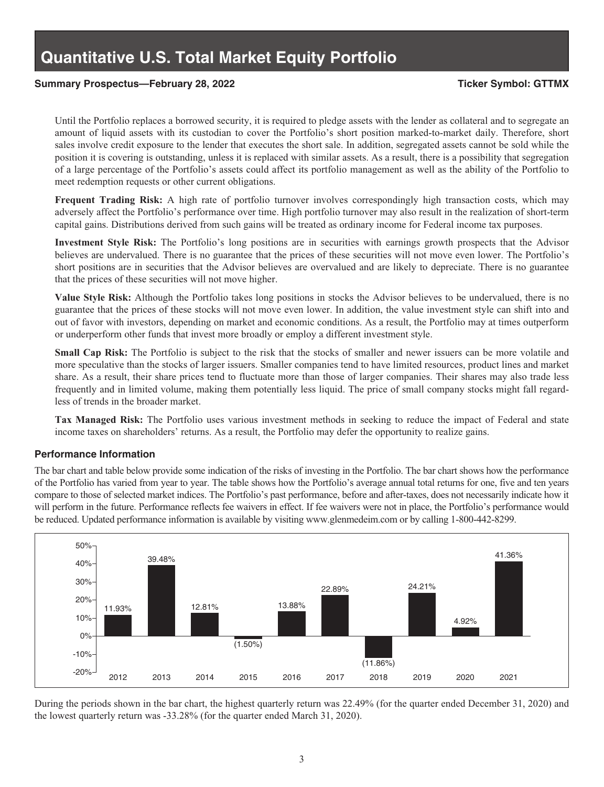#### **Summary Prospectus—February 28, 2022 Ticker Symbol: GTTMX**

Until the Portfolio replaces a borrowed security, it is required to pledge assets with the lender as collateral and to segregate an amount of liquid assets with its custodian to cover the Portfolio's short position marked-to-market daily. Therefore, short sales involve credit exposure to the lender that executes the short sale. In addition, segregated assets cannot be sold while the position it is covering is outstanding, unless it is replaced with similar assets. As a result, there is a possibility that segregation of a large percentage of the Portfolio's assets could affect its portfolio management as well as the ability of the Portfolio to meet redemption requests or other current obligations.

**Frequent Trading Risk:** A high rate of portfolio turnover involves correspondingly high transaction costs, which may adversely affect the Portfolio's performance over time. High portfolio turnover may also result in the realization of short-term capital gains. Distributions derived from such gains will be treated as ordinary income for Federal income tax purposes.

**Investment Style Risk:** The Portfolio's long positions are in securities with earnings growth prospects that the Advisor believes are undervalued. There is no guarantee that the prices of these securities will not move even lower. The Portfolio's short positions are in securities that the Advisor believes are overvalued and are likely to depreciate. There is no guarantee that the prices of these securities will not move higher.

**Value Style Risk:** Although the Portfolio takes long positions in stocks the Advisor believes to be undervalued, there is no guarantee that the prices of these stocks will not move even lower. In addition, the value investment style can shift into and out of favor with investors, depending on market and economic conditions. As a result, the Portfolio may at times outperform or underperform other funds that invest more broadly or employ a different investment style.

**Small Cap Risk:** The Portfolio is subject to the risk that the stocks of smaller and newer issuers can be more volatile and more speculative than the stocks of larger issuers. Smaller companies tend to have limited resources, product lines and market share. As a result, their share prices tend to fluctuate more than those of larger companies. Their shares may also trade less frequently and in limited volume, making them potentially less liquid. The price of small company stocks might fall regardless of trends in the broader market.

**Tax Managed Risk:** The Portfolio uses various investment methods in seeking to reduce the impact of Federal and state income taxes on shareholders' returns. As a result, the Portfolio may defer the opportunity to realize gains.

#### **Performance Information**

The bar chart and table below provide some indication of the risks of investing in the Portfolio. The bar chart shows how the performance of the Portfolio has varied from year to year. The table shows how the Portfolio's average annual total returns for one, five and ten years compare to those of selected market indices. The Portfolio's past performance, before and after-taxes, does not necessarily indicate how it will perform in the future. Performance reflects fee waivers in effect. If fee waivers were not in place, the Portfolio's performance would be reduced. Updated performance information is available by visiting www.glenmedeim.com or by calling 1-800-442-8299.



During the periods shown in the bar chart, the highest quarterly return was 22.49% (for the quarter ended December 31, 2020) and the lowest quarterly return was -33.28% (for the quarter ended March 31, 2020).